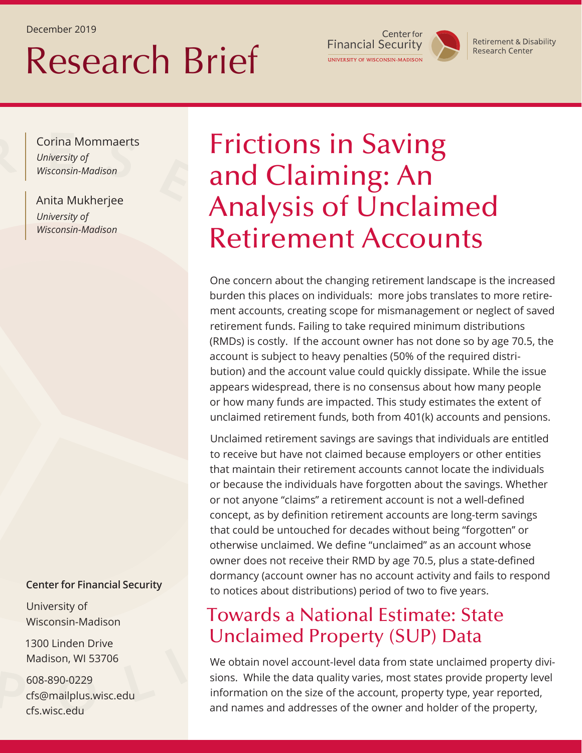December 2019

# Research Brief

Center for **Financial Security** UNIVERSITY OF WISCONSIN-MADISON

**Retirement & Disability Research Center** 

Corina Mommaerts *University of Wisconsin-Madison*

Anita Mukherjee *University of Wisconsin-Madison*

## Frictions in Saving and Claiming: An Analysis of Unclaimed Retirement Accounts

One concern about the changing retirement landscape is the increased burden this places on individuals: more jobs translates to more retirement accounts, creating scope for mismanagement or neglect of saved retirement funds. Failing to take required minimum distributions (RMDs) is costly. If the account owner has not done so by age 70.5, the account is subject to heavy penalties (50% of the required distribution) and the account value could quickly dissipate. While the issue appears widespread, there is no consensus about how many people or how many funds are impacted. This study estimates the extent of unclaimed retirement funds, both from 401(k) accounts and pensions.

Unclaimed retirement savings are savings that individuals are entitled to receive but have not claimed because employers or other entities that maintain their retirement accounts cannot locate the individuals or because the individuals have forgotten about the savings. Whether or not anyone "claims" a retirement account is not a well-defined concept, as by definition retirement accounts are long-term savings that could be untouched for decades without being "forgotten'' or otherwise unclaimed. We define "unclaimed'' as an account whose owner does not receive their RMD by age 70.5, plus a state-defined dormancy (account owner has no account activity and fails to respond to notices about distributions) period of two to five years.

#### Towards a National Estimate: State Unclaimed Property (SUP) Data

We obtain novel account-level data from state unclaimed property divisions. While the data quality varies, most states provide property level information on the size of the account, property type, year reported, and names and addresses of the owner and holder of the property,

#### **Center for Financial Security**

University of Wisconsin-Madison

1300 Linden Drive Madison, WI 53706

608-890-0229 cfs@mailplus.wisc.edu cfs.wisc.edu